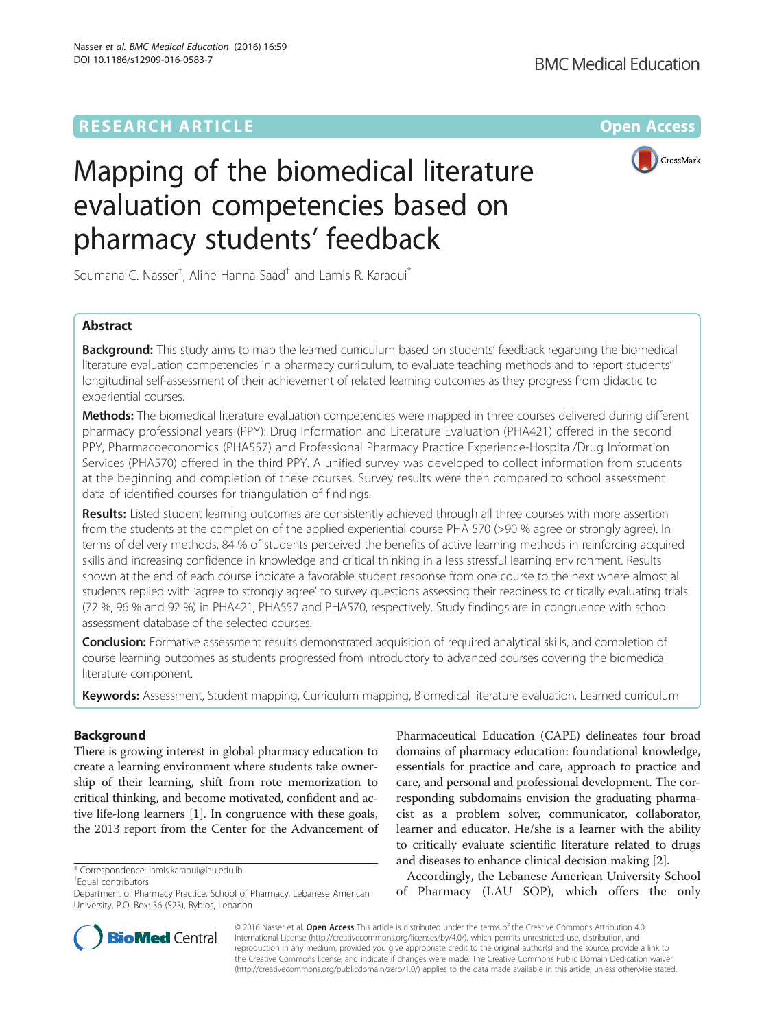# **RESEARCH ARTICLE Example 2018 12:00 Department of the Contract Open Access**



# Mapping of the biomedical literature evaluation competencies based on pharmacy students' feedback

Soumana C. Nasser† , Aline Hanna Saad† and Lamis R. Karaoui\*

# Abstract

**Background:** This study aims to map the learned curriculum based on students' feedback regarding the biomedical literature evaluation competencies in a pharmacy curriculum, to evaluate teaching methods and to report students' longitudinal self-assessment of their achievement of related learning outcomes as they progress from didactic to experiential courses.

Methods: The biomedical literature evaluation competencies were mapped in three courses delivered during different pharmacy professional years (PPY): Drug Information and Literature Evaluation (PHA421) offered in the second PPY, Pharmacoeconomics (PHA557) and Professional Pharmacy Practice Experience-Hospital/Drug Information Services (PHA570) offered in the third PPY. A unified survey was developed to collect information from students at the beginning and completion of these courses. Survey results were then compared to school assessment data of identified courses for triangulation of findings.

Results: Listed student learning outcomes are consistently achieved through all three courses with more assertion from the students at the completion of the applied experiential course PHA 570 (>90 % agree or strongly agree). In terms of delivery methods, 84 % of students perceived the benefits of active learning methods in reinforcing acquired skills and increasing confidence in knowledge and critical thinking in a less stressful learning environment. Results shown at the end of each course indicate a favorable student response from one course to the next where almost all students replied with 'agree to strongly agree' to survey questions assessing their readiness to critically evaluating trials (72 %, 96 % and 92 %) in PHA421, PHA557 and PHA570, respectively. Study findings are in congruence with school assessment database of the selected courses.

Conclusion: Formative assessment results demonstrated acquisition of required analytical skills, and completion of course learning outcomes as students progressed from introductory to advanced courses covering the biomedical literature component.

Keywords: Assessment, Student mapping, Curriculum mapping, Biomedical literature evaluation, Learned curriculum

# Background

There is growing interest in global pharmacy education to create a learning environment where students take ownership of their learning, shift from rote memorization to critical thinking, and become motivated, confident and active life-long learners [[1](#page-6-0)]. In congruence with these goals, the 2013 report from the Center for the Advancement of

\* Correspondence: [lamis.karaoui@lau.edu.lb](mailto:lamis.karaoui@lau.edu.lb) †

Equal contributors

Pharmaceutical Education (CAPE) delineates four broad domains of pharmacy education: foundational knowledge, essentials for practice and care, approach to practice and care, and personal and professional development. The corresponding subdomains envision the graduating pharmacist as a problem solver, communicator, collaborator, learner and educator. He/she is a learner with the ability to critically evaluate scientific literature related to drugs and diseases to enhance clinical decision making [[2](#page-6-0)].

Accordingly, the Lebanese American University School of Pharmacy (LAU SOP), which offers the only



© 2016 Nasser et al. Open Access This article is distributed under the terms of the Creative Commons Attribution 4.0 International License [\(http://creativecommons.org/licenses/by/4.0/](http://creativecommons.org/licenses/by/4.0/)), which permits unrestricted use, distribution, and reproduction in any medium, provided you give appropriate credit to the original author(s) and the source, provide a link to the Creative Commons license, and indicate if changes were made. The Creative Commons Public Domain Dedication waiver [\(http://creativecommons.org/publicdomain/zero/1.0/](http://creativecommons.org/publicdomain/zero/1.0/)) applies to the data made available in this article, unless otherwise stated.

Department of Pharmacy Practice, School of Pharmacy, Lebanese American University, P.O. Box: 36 (S23), Byblos, Lebanon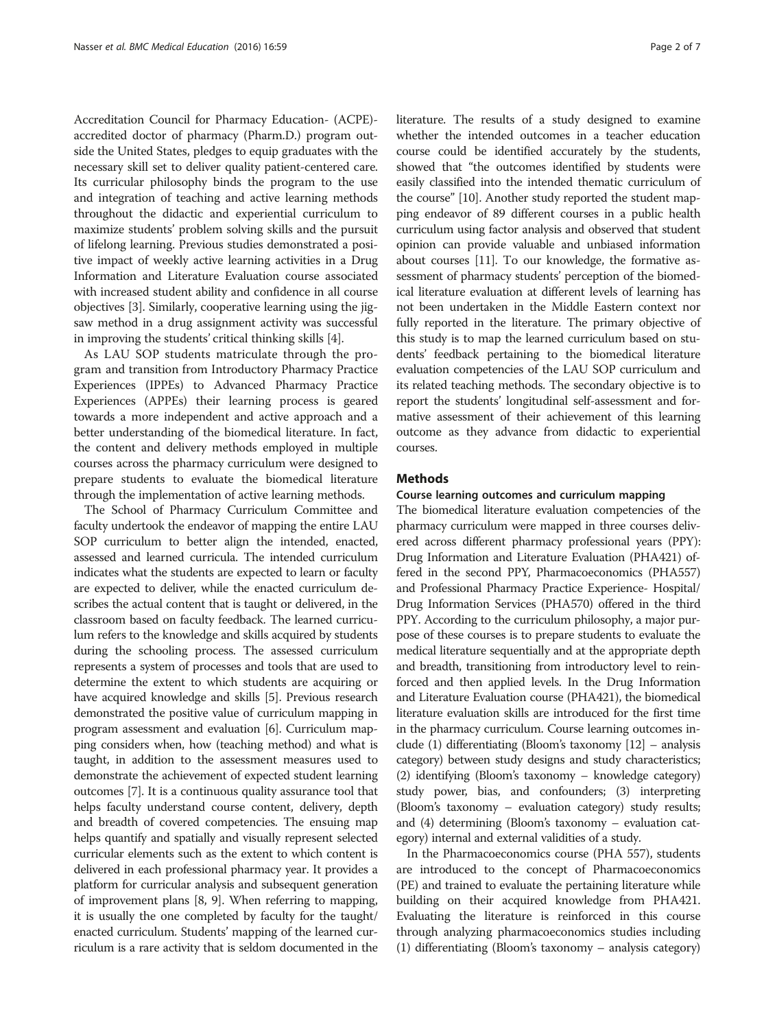Accreditation Council for Pharmacy Education- (ACPE) accredited doctor of pharmacy (Pharm.D.) program outside the United States, pledges to equip graduates with the necessary skill set to deliver quality patient-centered care. Its curricular philosophy binds the program to the use and integration of teaching and active learning methods throughout the didactic and experiential curriculum to maximize students' problem solving skills and the pursuit of lifelong learning. Previous studies demonstrated a positive impact of weekly active learning activities in a Drug Information and Literature Evaluation course associated with increased student ability and confidence in all course objectives [[3](#page-6-0)]. Similarly, cooperative learning using the jigsaw method in a drug assignment activity was successful in improving the students' critical thinking skills [\[4](#page-6-0)].

As LAU SOP students matriculate through the program and transition from Introductory Pharmacy Practice Experiences (IPPEs) to Advanced Pharmacy Practice Experiences (APPEs) their learning process is geared towards a more independent and active approach and a better understanding of the biomedical literature. In fact, the content and delivery methods employed in multiple courses across the pharmacy curriculum were designed to prepare students to evaluate the biomedical literature through the implementation of active learning methods.

The School of Pharmacy Curriculum Committee and faculty undertook the endeavor of mapping the entire LAU SOP curriculum to better align the intended, enacted, assessed and learned curricula. The intended curriculum indicates what the students are expected to learn or faculty are expected to deliver, while the enacted curriculum describes the actual content that is taught or delivered, in the classroom based on faculty feedback. The learned curriculum refers to the knowledge and skills acquired by students during the schooling process. The assessed curriculum represents a system of processes and tools that are used to determine the extent to which students are acquiring or have acquired knowledge and skills [\[5](#page-6-0)]. Previous research demonstrated the positive value of curriculum mapping in program assessment and evaluation [[6](#page-6-0)]. Curriculum mapping considers when, how (teaching method) and what is taught, in addition to the assessment measures used to demonstrate the achievement of expected student learning outcomes [\[7\]](#page-6-0). It is a continuous quality assurance tool that helps faculty understand course content, delivery, depth and breadth of covered competencies. The ensuing map helps quantify and spatially and visually represent selected curricular elements such as the extent to which content is delivered in each professional pharmacy year. It provides a platform for curricular analysis and subsequent generation of improvement plans [\[8, 9](#page-6-0)]. When referring to mapping, it is usually the one completed by faculty for the taught/ enacted curriculum. Students' mapping of the learned curriculum is a rare activity that is seldom documented in the literature. The results of a study designed to examine whether the intended outcomes in a teacher education course could be identified accurately by the students, showed that "the outcomes identified by students were easily classified into the intended thematic curriculum of the course" [\[10](#page-6-0)]. Another study reported the student mapping endeavor of 89 different courses in a public health curriculum using factor analysis and observed that student opinion can provide valuable and unbiased information about courses [\[11\]](#page-6-0). To our knowledge, the formative assessment of pharmacy students' perception of the biomedical literature evaluation at different levels of learning has not been undertaken in the Middle Eastern context nor fully reported in the literature. The primary objective of this study is to map the learned curriculum based on students' feedback pertaining to the biomedical literature evaluation competencies of the LAU SOP curriculum and its related teaching methods. The secondary objective is to report the students' longitudinal self-assessment and formative assessment of their achievement of this learning outcome as they advance from didactic to experiential courses.

# **Methods**

# Course learning outcomes and curriculum mapping

The biomedical literature evaluation competencies of the pharmacy curriculum were mapped in three courses delivered across different pharmacy professional years (PPY): Drug Information and Literature Evaluation (PHA421) offered in the second PPY, Pharmacoeconomics (PHA557) and Professional Pharmacy Practice Experience- Hospital/ Drug Information Services (PHA570) offered in the third PPY. According to the curriculum philosophy, a major purpose of these courses is to prepare students to evaluate the medical literature sequentially and at the appropriate depth and breadth, transitioning from introductory level to reinforced and then applied levels. In the Drug Information and Literature Evaluation course (PHA421), the biomedical literature evaluation skills are introduced for the first time in the pharmacy curriculum. Course learning outcomes include (1) differentiating (Bloom's taxonomy [[12](#page-6-0)] – analysis category) between study designs and study characteristics; (2) identifying (Bloom's taxonomy – knowledge category) study power, bias, and confounders; (3) interpreting (Bloom's taxonomy – evaluation category) study results; and (4) determining (Bloom's taxonomy – evaluation category) internal and external validities of a study.

In the Pharmacoeconomics course (PHA 557), students are introduced to the concept of Pharmacoeconomics (PE) and trained to evaluate the pertaining literature while building on their acquired knowledge from PHA421. Evaluating the literature is reinforced in this course through analyzing pharmacoeconomics studies including (1) differentiating (Bloom's taxonomy – analysis category)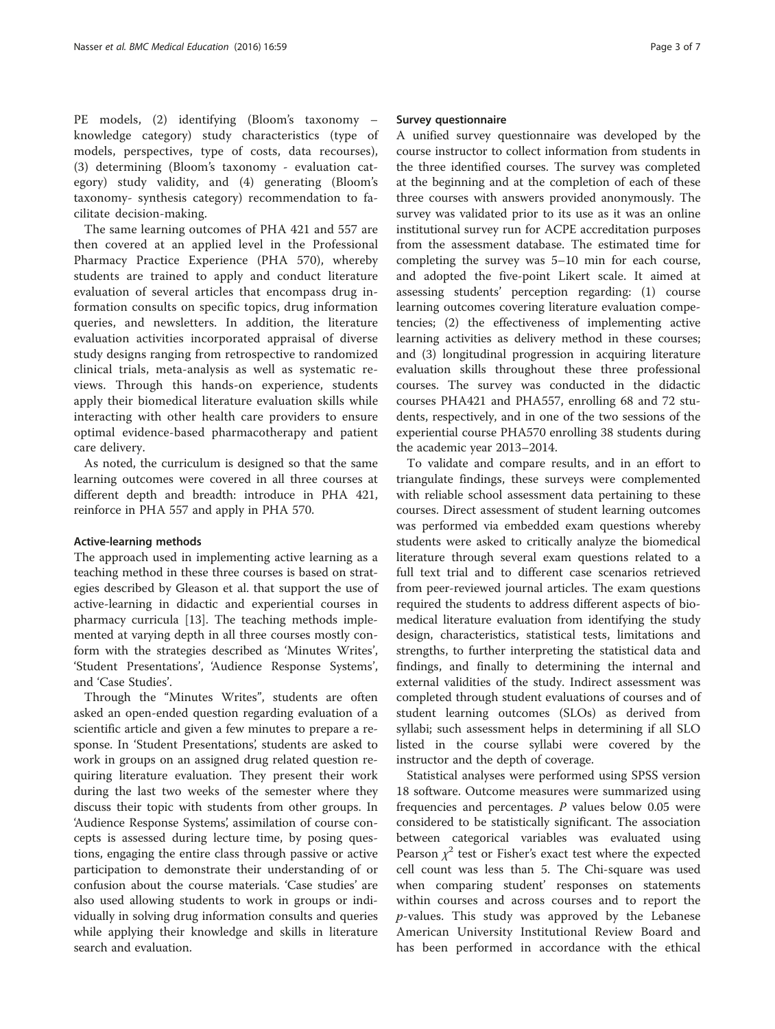PE models, (2) identifying (Bloom's taxonomy – knowledge category) study characteristics (type of models, perspectives, type of costs, data recourses), (3) determining (Bloom's taxonomy - evaluation category) study validity, and (4) generating (Bloom's taxonomy- synthesis category) recommendation to facilitate decision-making.

The same learning outcomes of PHA 421 and 557 are then covered at an applied level in the Professional Pharmacy Practice Experience (PHA 570), whereby students are trained to apply and conduct literature evaluation of several articles that encompass drug information consults on specific topics, drug information queries, and newsletters. In addition, the literature evaluation activities incorporated appraisal of diverse study designs ranging from retrospective to randomized clinical trials, meta-analysis as well as systematic reviews. Through this hands-on experience, students apply their biomedical literature evaluation skills while interacting with other health care providers to ensure optimal evidence-based pharmacotherapy and patient care delivery.

As noted, the curriculum is designed so that the same learning outcomes were covered in all three courses at different depth and breadth: introduce in PHA 421, reinforce in PHA 557 and apply in PHA 570.

#### Active-learning methods

The approach used in implementing active learning as a teaching method in these three courses is based on strategies described by Gleason et al. that support the use of active-learning in didactic and experiential courses in pharmacy curricula [\[13\]](#page-6-0). The teaching methods implemented at varying depth in all three courses mostly conform with the strategies described as 'Minutes Writes', 'Student Presentations', 'Audience Response Systems', and 'Case Studies'.

Through the "Minutes Writes", students are often asked an open-ended question regarding evaluation of a scientific article and given a few minutes to prepare a response. In 'Student Presentations', students are asked to work in groups on an assigned drug related question requiring literature evaluation. They present their work during the last two weeks of the semester where they discuss their topic with students from other groups. In 'Audience Response Systems', assimilation of course concepts is assessed during lecture time, by posing questions, engaging the entire class through passive or active participation to demonstrate their understanding of or confusion about the course materials. 'Case studies' are also used allowing students to work in groups or individually in solving drug information consults and queries while applying their knowledge and skills in literature search and evaluation.

#### Survey questionnaire

A unified survey questionnaire was developed by the course instructor to collect information from students in the three identified courses. The survey was completed at the beginning and at the completion of each of these three courses with answers provided anonymously. The survey was validated prior to its use as it was an online institutional survey run for ACPE accreditation purposes from the assessment database. The estimated time for completing the survey was 5–10 min for each course, and adopted the five-point Likert scale. It aimed at assessing students' perception regarding: (1) course learning outcomes covering literature evaluation competencies; (2) the effectiveness of implementing active learning activities as delivery method in these courses; and (3) longitudinal progression in acquiring literature evaluation skills throughout these three professional courses. The survey was conducted in the didactic courses PHA421 and PHA557, enrolling 68 and 72 students, respectively, and in one of the two sessions of the experiential course PHA570 enrolling 38 students during the academic year 2013–2014.

To validate and compare results, and in an effort to triangulate findings, these surveys were complemented with reliable school assessment data pertaining to these courses. Direct assessment of student learning outcomes was performed via embedded exam questions whereby students were asked to critically analyze the biomedical literature through several exam questions related to a full text trial and to different case scenarios retrieved from peer-reviewed journal articles. The exam questions required the students to address different aspects of biomedical literature evaluation from identifying the study design, characteristics, statistical tests, limitations and strengths, to further interpreting the statistical data and findings, and finally to determining the internal and external validities of the study. Indirect assessment was completed through student evaluations of courses and of student learning outcomes (SLOs) as derived from syllabi; such assessment helps in determining if all SLO listed in the course syllabi were covered by the instructor and the depth of coverage.

Statistical analyses were performed using SPSS version 18 software. Outcome measures were summarized using frequencies and percentages. P values below 0.05 were considered to be statistically significant. The association between categorical variables was evaluated using Pearson  $\chi^2$  test or Fisher's exact test where the expected cell count was less than 5. The Chi-square was used when comparing student' responses on statements within courses and across courses and to report the p-values. This study was approved by the Lebanese American University Institutional Review Board and has been performed in accordance with the ethical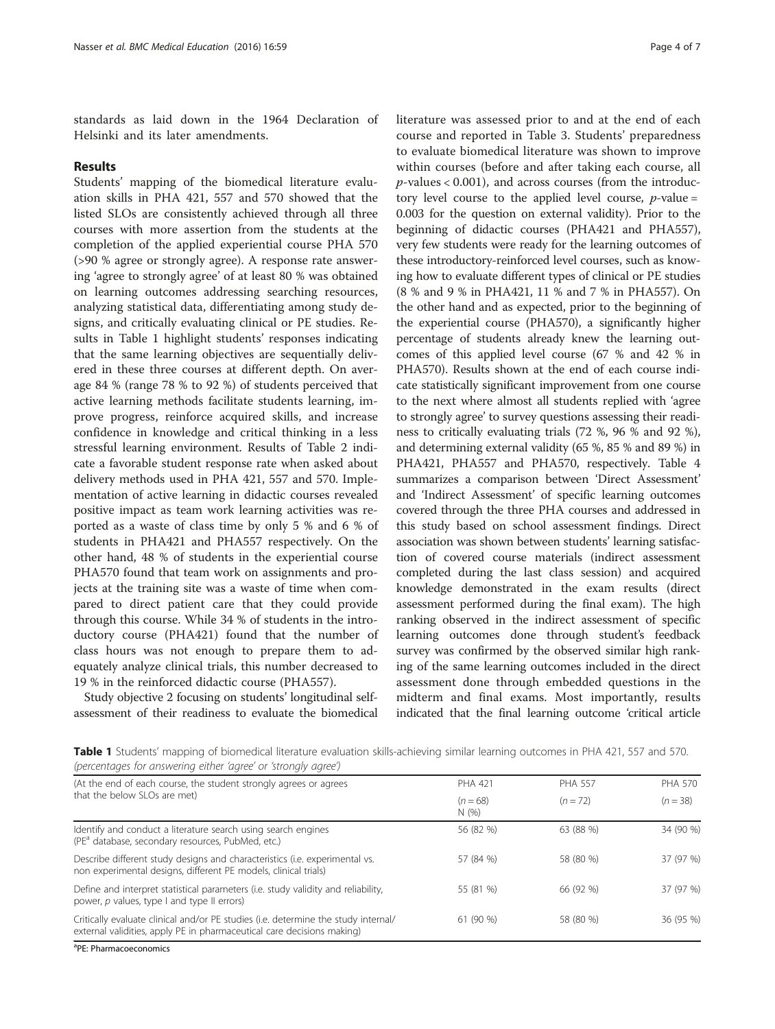standards as laid down in the 1964 Declaration of Helsinki and its later amendments.

# Results

Students' mapping of the biomedical literature evaluation skills in PHA 421, 557 and 570 showed that the listed SLOs are consistently achieved through all three courses with more assertion from the students at the completion of the applied experiential course PHA 570 (>90 % agree or strongly agree). A response rate answering 'agree to strongly agree' of at least 80 % was obtained on learning outcomes addressing searching resources, analyzing statistical data, differentiating among study designs, and critically evaluating clinical or PE studies. Results in Table 1 highlight students' responses indicating that the same learning objectives are sequentially delivered in these three courses at different depth. On average 84 % (range 78 % to 92 %) of students perceived that active learning methods facilitate students learning, improve progress, reinforce acquired skills, and increase confidence in knowledge and critical thinking in a less stressful learning environment. Results of Table [2](#page-4-0) indicate a favorable student response rate when asked about delivery methods used in PHA 421, 557 and 570. Implementation of active learning in didactic courses revealed positive impact as team work learning activities was reported as a waste of class time by only 5 % and 6 % of students in PHA421 and PHA557 respectively. On the other hand, 48 % of students in the experiential course PHA570 found that team work on assignments and projects at the training site was a waste of time when compared to direct patient care that they could provide through this course. While 34 % of students in the introductory course (PHA421) found that the number of class hours was not enough to prepare them to adequately analyze clinical trials, this number decreased to 19 % in the reinforced didactic course (PHA557).

Study objective 2 focusing on students' longitudinal selfassessment of their readiness to evaluate the biomedical literature was assessed prior to and at the end of each course and reported in Table [3](#page-4-0). Students' preparedness to evaluate biomedical literature was shown to improve within courses (before and after taking each course, all  $p$ -values < 0.001), and across courses (from the introductory level course to the applied level course,  $p$ -value = 0.003 for the question on external validity). Prior to the beginning of didactic courses (PHA421 and PHA557), very few students were ready for the learning outcomes of these introductory-reinforced level courses, such as knowing how to evaluate different types of clinical or PE studies (8 % and 9 % in PHA421, 11 % and 7 % in PHA557). On the other hand and as expected, prior to the beginning of the experiential course (PHA570), a significantly higher percentage of students already knew the learning outcomes of this applied level course (67 % and 42 % in PHA570). Results shown at the end of each course indicate statistically significant improvement from one course to the next where almost all students replied with 'agree to strongly agree' to survey questions assessing their readiness to critically evaluating trials (72 %, 96 % and 92 %), and determining external validity (65 %, 85 % and 89 %) in PHA421, PHA557 and PHA570, respectively. Table [4](#page-5-0) summarizes a comparison between 'Direct Assessment' and 'Indirect Assessment' of specific learning outcomes covered through the three PHA courses and addressed in this study based on school assessment findings. Direct association was shown between students' learning satisfaction of covered course materials (indirect assessment completed during the last class session) and acquired knowledge demonstrated in the exam results (direct assessment performed during the final exam). The high ranking observed in the indirect assessment of specific learning outcomes done through student's feedback survey was confirmed by the observed similar high ranking of the same learning outcomes included in the direct assessment done through embedded questions in the midterm and final exams. Most importantly, results indicated that the final learning outcome 'critical article

Table 1 Students' mapping of biomedical literature evaluation skills-achieving similar learning outcomes in PHA 421, 557 and 570. (percentages for answering either 'agree' or 'strongly agree')

| (At the end of each course, the student strongly agrees or agrees<br>that the below SLOs are met)                                                            | PHA 421            | <b>PHA 557</b> | PHA 570    |
|--------------------------------------------------------------------------------------------------------------------------------------------------------------|--------------------|----------------|------------|
|                                                                                                                                                              | $(n = 68)$<br>N(%) | $(n = 72)$     | $(n = 38)$ |
| Identify and conduct a literature search using search engines<br>(PE <sup>a</sup> database, secondary resources, PubMed, etc.)                               | 56 (82 %)          | 63 (88 %)      | 34 (90 %)  |
| Describe different study designs and characteristics (i.e. experimental vs.<br>non experimental designs, different PE models, clinical trials)               | 57 (84 %)          | 58 (80 %)      | 37 (97 %)  |
| Define and interpret statistical parameters (i.e. study validity and reliability,<br>power, p values, type I and type II errors)                             | 55 (81 %)          | 66 (92 %)      | 37 (97 %)  |
| Critically evaluate clinical and/or PE studies (i.e. determine the study internal/<br>external validities, apply PE in pharmaceutical care decisions making) | 61 (90 %)          | 58 (80 %)      | 36 (95 %)  |

<sup>a</sup>PE: Pharmacoeconomics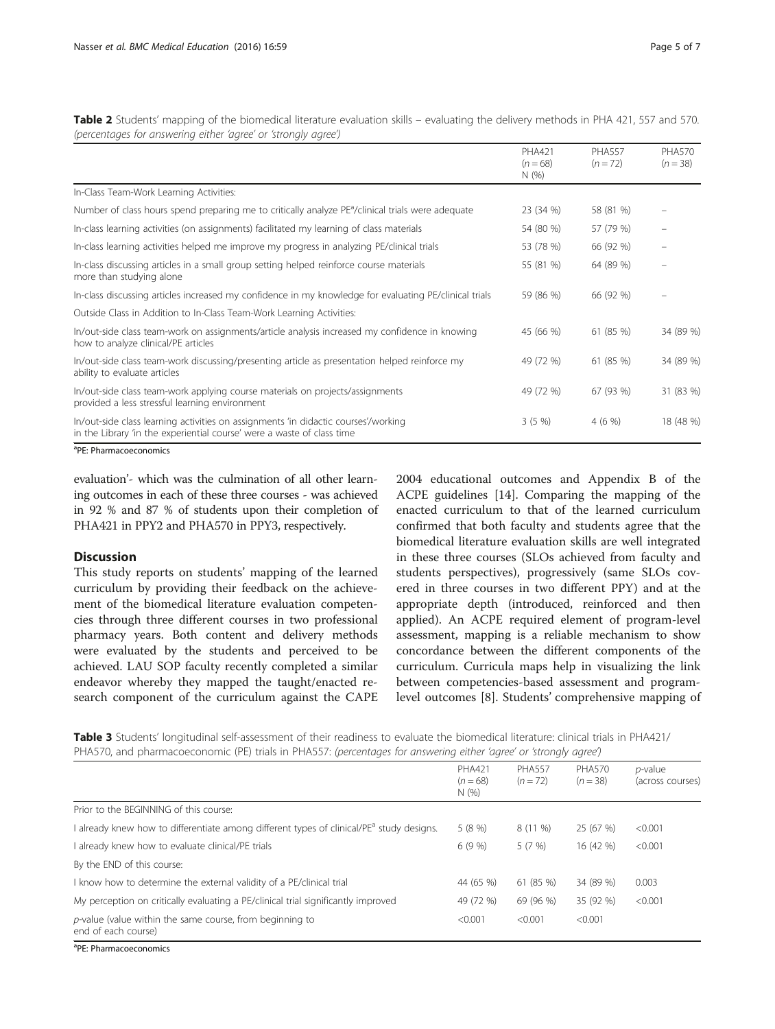<span id="page-4-0"></span>Table 2 Students' mapping of the biomedical literature evaluation skills – evaluating the delivery methods in PHA 421, 557 and 570. (percentages for answering either 'agree' or 'strongly agree')

|                                                                                                                                                              | PHA421<br>$(n = 68)$<br>N(% | <b>PHA557</b><br>$(n = 72)$ | <b>PHA570</b><br>$(n = 38)$ |
|--------------------------------------------------------------------------------------------------------------------------------------------------------------|-----------------------------|-----------------------------|-----------------------------|
| In-Class Team-Work Learning Activities:                                                                                                                      |                             |                             |                             |
| Number of class hours spend preparing me to critically analyze PE <sup>a</sup> /clinical trials were adequate                                                | 23 (34 %)                   | 58 (81 %)                   | -                           |
| In-class learning activities (on assignments) facilitated my learning of class materials                                                                     | 54 (80 %)                   | 57 (79 %)                   | $\qquad \qquad -$           |
| In-class learning activities helped me improve my progress in analyzing PE/clinical trials                                                                   | 53 (78 %)                   | 66 (92 %)                   | $\overline{\phantom{m}}$    |
| In-class discussing articles in a small group setting helped reinforce course materials<br>more than studying alone                                          | 55 (81 %)                   | 64 (89 %)                   |                             |
| In-class discussing articles increased my confidence in my knowledge for evaluating PE/clinical trials                                                       | 59 (86 %)                   | 66 (92 %)                   |                             |
| Outside Class in Addition to In-Class Team-Work Learning Activities:                                                                                         |                             |                             |                             |
| In/out-side class team-work on assignments/article analysis increased my confidence in knowing<br>how to analyze clinical/PE articles                        | 45 (66 %)                   | 61 (85 %)                   | 34 (89 %)                   |
| In/out-side class team-work discussing/presenting article as presentation helped reinforce my<br>ability to evaluate articles                                | 49 (72 %)                   | 61 (85 %)                   | 34 (89 %)                   |
| In/out-side class team-work applying course materials on projects/assignments<br>provided a less stressful learning environment                              | 49 (72 %)                   | 67 (93 %)                   | 31 (83 %)                   |
| In/out-side class learning activities on assignments 'in didactic courses'/working<br>in the Library 'in the experiential course' were a waste of class time | 3(5%                        | $4(6\%)$                    | 18 (48 %)                   |
|                                                                                                                                                              |                             |                             |                             |

<sup>a</sup>PE: Pharmacoeconomics

evaluation'- which was the culmination of all other learning outcomes in each of these three courses - was achieved in 92 % and 87 % of students upon their completion of PHA421 in PPY2 and PHA570 in PPY3, respectively.

# Discussion

This study reports on students' mapping of the learned curriculum by providing their feedback on the achievement of the biomedical literature evaluation competencies through three different courses in two professional pharmacy years. Both content and delivery methods were evaluated by the students and perceived to be achieved. LAU SOP faculty recently completed a similar endeavor whereby they mapped the taught/enacted research component of the curriculum against the CAPE 2004 educational outcomes and Appendix B of the ACPE guidelines [\[14](#page-6-0)]. Comparing the mapping of the enacted curriculum to that of the learned curriculum confirmed that both faculty and students agree that the biomedical literature evaluation skills are well integrated in these three courses (SLOs achieved from faculty and students perspectives), progressively (same SLOs covered in three courses in two different PPY) and at the appropriate depth (introduced, reinforced and then applied). An ACPE required element of program-level assessment, mapping is a reliable mechanism to show concordance between the different components of the curriculum. Curricula maps help in visualizing the link between competencies-based assessment and programlevel outcomes [[8\]](#page-6-0). Students' comprehensive mapping of

Table 3 Students' longitudinal self-assessment of their readiness to evaluate the biomedical literature: clinical trials in PHA421/ PHA570, and pharmacoeconomic (PE) trials in PHA557: (percentages for answering either 'agree' or 'strongly agree')

|                                                                                                      | <b>PHA421</b><br>$(n = 68)$<br>N(%) | <b>PHA557</b><br>$(n = 72)$ | PHA570<br>$(n = 38)$ | $p$ -value<br>(across courses) |
|------------------------------------------------------------------------------------------------------|-------------------------------------|-----------------------------|----------------------|--------------------------------|
| Prior to the BEGINNING of this course:                                                               |                                     |                             |                      |                                |
| l already knew how to differentiate among different types of clinical/PE <sup>a</sup> study designs. | 5 (8 %)                             | $8(11\%)$                   | 25 (67 %)            | < 0.001                        |
| already knew how to evaluate clinical/PE trials                                                      | 6(9%)                               | 5(7%)                       | 16 (42 %)            | < 0.001                        |
| By the END of this course:                                                                           |                                     |                             |                      |                                |
| I know how to determine the external validity of a PE/clinical trial                                 | 44 (65 %)                           | 61 (85 %)                   | 34 (89 %)            | 0.003                          |
| My perception on critically evaluating a PE/clinical trial significantly improved                    | 49 (72 %)                           | 69 (96 %)                   | 35 (92 %)            | < 0.001                        |
| $p$ -value (value within the same course, from beginning to<br>end of each course)                   | < 0.001                             | < 0.001                     | < 0.001              |                                |

<sup>a</sup>PE: Pharmacoeconomics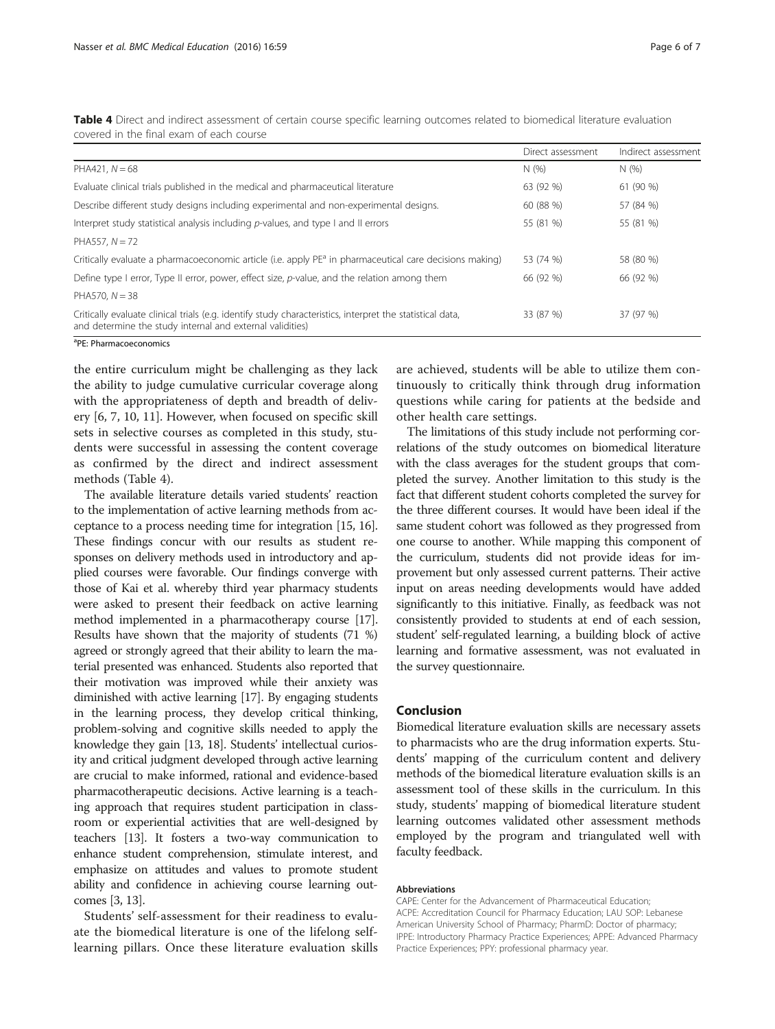|                                                                                                                                                                        | Direct assessment | Indirect assessment |
|------------------------------------------------------------------------------------------------------------------------------------------------------------------------|-------------------|---------------------|
| $PHA421. N = 68$                                                                                                                                                       | N(%)              | N(%)                |
| Evaluate clinical trials published in the medical and pharmaceutical literature                                                                                        | 63 (92 %)         | 61 (90 %)           |
| Describe different study designs including experimental and non-experimental designs.                                                                                  | 60 (88 %)         | 57 (84 %)           |
| Interpret study statistical analysis including $p$ -values, and type I and II errors                                                                                   | 55 (81 %)         | 55 (81 %)           |
| $PHA557. N = 72$                                                                                                                                                       |                   |                     |
| Critically evaluate a pharmacoeconomic article (i.e. apply PE <sup>ª</sup> in pharmaceutical care decisions making)                                                    | 53 (74 %)         | 58 (80 %)           |
| Define type I error, Type II error, power, effect size, p-value, and the relation among them                                                                           | 66 (92 %)         | 66 (92 %)           |
| PHA570, $N = 38$                                                                                                                                                       |                   |                     |
| Critically evaluate clinical trials (e.g. identify study characteristics, interpret the statistical data,<br>and determine the study internal and external validities) | 33 (87 %)         | 37 (97 %)           |

<span id="page-5-0"></span>Table 4 Direct and indirect assessment of certain course specific learning outcomes related to biomedical literature evaluation covered in the final exam of each course

<sup>a</sup>PE: Pharmacoeconomics

the entire curriculum might be challenging as they lack the ability to judge cumulative curricular coverage along with the appropriateness of depth and breadth of delivery [\[6](#page-6-0), [7](#page-6-0), [10, 11\]](#page-6-0). However, when focused on specific skill sets in selective courses as completed in this study, students were successful in assessing the content coverage as confirmed by the direct and indirect assessment methods (Table 4).

The available literature details varied students' reaction to the implementation of active learning methods from acceptance to a process needing time for integration [[15](#page-6-0), [16](#page-6-0)]. These findings concur with our results as student responses on delivery methods used in introductory and applied courses were favorable. Our findings converge with those of Kai et al. whereby third year pharmacy students were asked to present their feedback on active learning method implemented in a pharmacotherapy course [\[17](#page-6-0)]. Results have shown that the majority of students (71 %) agreed or strongly agreed that their ability to learn the material presented was enhanced. Students also reported that their motivation was improved while their anxiety was diminished with active learning [\[17\]](#page-6-0). By engaging students in the learning process, they develop critical thinking, problem-solving and cognitive skills needed to apply the knowledge they gain [[13](#page-6-0), [18\]](#page-6-0). Students' intellectual curiosity and critical judgment developed through active learning are crucial to make informed, rational and evidence-based pharmacotherapeutic decisions. Active learning is a teaching approach that requires student participation in classroom or experiential activities that are well-designed by teachers [\[13\]](#page-6-0). It fosters a two-way communication to enhance student comprehension, stimulate interest, and emphasize on attitudes and values to promote student ability and confidence in achieving course learning outcomes [\[3](#page-6-0), [13](#page-6-0)].

Students' self-assessment for their readiness to evaluate the biomedical literature is one of the lifelong selflearning pillars. Once these literature evaluation skills

are achieved, students will be able to utilize them continuously to critically think through drug information questions while caring for patients at the bedside and other health care settings.

The limitations of this study include not performing correlations of the study outcomes on biomedical literature with the class averages for the student groups that completed the survey. Another limitation to this study is the fact that different student cohorts completed the survey for the three different courses. It would have been ideal if the same student cohort was followed as they progressed from one course to another. While mapping this component of the curriculum, students did not provide ideas for improvement but only assessed current patterns. Their active input on areas needing developments would have added significantly to this initiative. Finally, as feedback was not consistently provided to students at end of each session, student' self-regulated learning, a building block of active learning and formative assessment, was not evaluated in the survey questionnaire.

# Conclusion

Biomedical literature evaluation skills are necessary assets to pharmacists who are the drug information experts. Students' mapping of the curriculum content and delivery methods of the biomedical literature evaluation skills is an assessment tool of these skills in the curriculum. In this study, students' mapping of biomedical literature student learning outcomes validated other assessment methods employed by the program and triangulated well with faculty feedback.

#### Abbreviations

CAPE: Center for the Advancement of Pharmaceutical Education; ACPE: Accreditation Council for Pharmacy Education; LAU SOP: Lebanese American University School of Pharmacy; PharmD: Doctor of pharmacy; IPPE: Introductory Pharmacy Practice Experiences; APPE: Advanced Pharmacy Practice Experiences; PPY: professional pharmacy year.